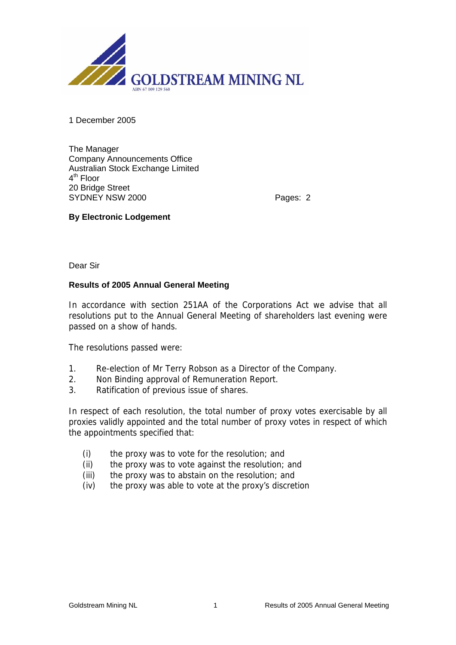

1 December 2005

The Manager Company Announcements Office Australian Stock Exchange Limited 4<sup>th</sup> Floor 20 Bridge Street SYDNEY NSW 2000 Pages: 2

## **By Electronic Lodgement**

Dear Sir

## **Results of 2005 Annual General Meeting**

In accordance with section 251AA of the Corporations Act we advise that all resolutions put to the Annual General Meeting of shareholders last evening were passed on a show of hands.

The resolutions passed were:

- 1. Re-election of Mr Terry Robson as a Director of the Company.
- 2. Non Binding approval of Remuneration Report.
- 3. Ratification of previous issue of shares.

In respect of each resolution, the total number of proxy votes exercisable by all proxies validly appointed and the total number of proxy votes in respect of which the appointments specified that:

- (i) the proxy was to vote for the resolution; and
- (ii) the proxy was to vote against the resolution; and
- (iii) the proxy was to abstain on the resolution; and
- (iv) the proxy was able to vote at the proxy's discretion